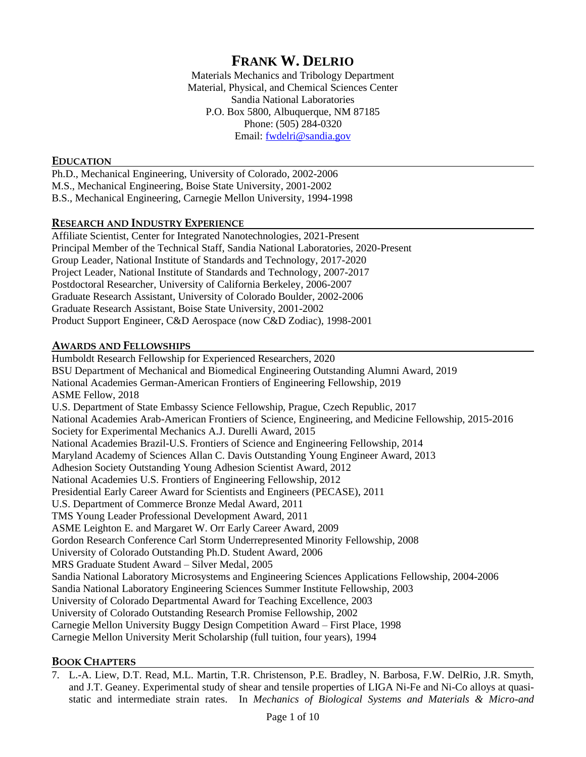# **FRANK W. DELRIO**

Materials Mechanics and Tribology Department Material, Physical, and Chemical Sciences Center Sandia National Laboratories P.O. Box 5800, Albuquerque, NM 87185 Phone: (505) 284-0320 Email: [fwdelri@sandia.gov](mailto:fwdelri@sandia.gov)

## **EDUCATION**

Ph.D., Mechanical Engineering, University of Colorado, 2002-2006 M.S., Mechanical Engineering, Boise State University, 2001-2002 B.S., Mechanical Engineering, Carnegie Mellon University, 1994-1998

## **RESEARCH AND INDUSTRY EXPERIENCE**

Affiliate Scientist, Center for Integrated Nanotechnologies, 2021-Present Principal Member of the Technical Staff, Sandia National Laboratories, 2020-Present Group Leader, National Institute of Standards and Technology, 2017-2020 Project Leader, National Institute of Standards and Technology, 2007-2017 Postdoctoral Researcher, University of California Berkeley, 2006-2007 Graduate Research Assistant, University of Colorado Boulder, 2002-2006 Graduate Research Assistant, Boise State University, 2001-2002 Product Support Engineer, C&D Aerospace (now C&D Zodiac), 1998-2001

## **AWARDS AND FELLOWSHIPS**

Humboldt Research Fellowship for Experienced Researchers, 2020 BSU Department of Mechanical and Biomedical Engineering Outstanding Alumni Award, 2019 National Academies German-American Frontiers of Engineering Fellowship, 2019 ASME Fellow, 2018 U.S. Department of State Embassy Science Fellowship, Prague, Czech Republic, 2017 National Academies Arab-American Frontiers of Science, Engineering, and Medicine Fellowship, 2015-2016 Society for Experimental Mechanics A.J. Durelli Award, 2015 National Academies Brazil-U.S. Frontiers of Science and Engineering Fellowship, 2014 Maryland Academy of Sciences Allan C. Davis Outstanding Young Engineer Award, 2013 Adhesion Society Outstanding Young Adhesion Scientist Award, 2012 National Academies U.S. Frontiers of Engineering Fellowship, 2012 Presidential Early Career Award for Scientists and Engineers (PECASE), 2011 U.S. Department of Commerce Bronze Medal Award, 2011 TMS Young Leader Professional Development Award, 2011 ASME Leighton E. and Margaret W. Orr Early Career Award, 2009 Gordon Research Conference Carl Storm Underrepresented Minority Fellowship, 2008 University of Colorado Outstanding Ph.D. Student Award, 2006 MRS Graduate Student Award ‒ Silver Medal, 2005 Sandia National Laboratory Microsystems and Engineering Sciences Applications Fellowship, 2004-2006 Sandia National Laboratory Engineering Sciences Summer Institute Fellowship, 2003 University of Colorado Departmental Award for Teaching Excellence, 2003 University of Colorado Outstanding Research Promise Fellowship, 2002 Carnegie Mellon University Buggy Design Competition Award ‒ First Place, 1998 Carnegie Mellon University Merit Scholarship (full tuition, four years), 1994

## **BOOK CHAPTERS**

7. L.-A. Liew, D.T. Read, M.L. Martin, T.R. Christenson, P.E. Bradley, N. Barbosa, F.W. DelRio, J.R. Smyth, and J.T. Geaney. Experimental study of shear and tensile properties of LIGA Ni-Fe and Ni-Co alloys at quasistatic and intermediate strain rates. In *Mechanics of Biological Systems and Materials & Micro-and*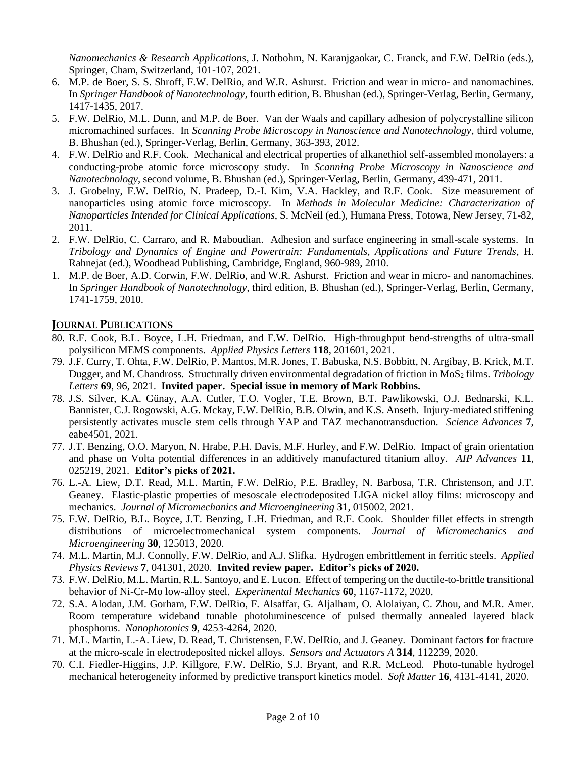*Nanomechanics & Research Applications*, J. Notbohm, N. Karanjgaokar, C. Franck, and F.W. DelRio (eds.), Springer, Cham, Switzerland, 101-107, 2021.

- 6. M.P. de Boer, S. S. Shroff, F.W. DelRio, and W.R. Ashurst. Friction and wear in micro- and nanomachines. In *Springer Handbook of Nanotechnology*, fourth edition, B. Bhushan (ed.), Springer-Verlag, Berlin, Germany, 1417-1435, 2017.
- 5. F.W. DelRio, M.L. Dunn, and M.P. de Boer. Van der Waals and capillary adhesion of polycrystalline silicon micromachined surfaces. In *Scanning Probe Microscopy in Nanoscience and Nanotechnology*, third volume, B. Bhushan (ed.), Springer-Verlag, Berlin, Germany, 363-393, 2012.
- 4. F.W. DelRio and R.F. Cook. Mechanical and electrical properties of alkanethiol self-assembled monolayers: a conducting-probe atomic force microscopy study. In *Scanning Probe Microscopy in Nanoscience and Nanotechnology*, second volume, B. Bhushan (ed.), Springer-Verlag, Berlin, Germany, 439-471, 2011.
- 3. J. Grobelny, F.W. DelRio, N. Pradeep, D.-I. Kim, V.A. Hackley, and R.F. Cook. Size measurement of nanoparticles using atomic force microscopy. In *Methods in Molecular Medicine: Characterization of Nanoparticles Intended for Clinical Applications*, S. McNeil (ed.), Humana Press, Totowa, New Jersey, 71-82, 2011.
- 2. F.W. DelRio, C. Carraro, and R. Maboudian. Adhesion and surface engineering in small-scale systems. In *Tribology and Dynamics of Engine and Powertrain: Fundamentals, Applications and Future Trends*, H. Rahnejat (ed.), Woodhead Publishing, Cambridge, England, 960-989, 2010.
- 1. M.P. de Boer, A.D. Corwin, F.W. DelRio, and W.R. Ashurst. Friction and wear in micro- and nanomachines. In *Springer Handbook of Nanotechnology*, third edition, B. Bhushan (ed.), Springer-Verlag, Berlin, Germany, 1741-1759, 2010.

# **JOURNAL PUBLICATIONS**

- 80. R.F. Cook, B.L. Boyce, L.H. Friedman, and F.W. DelRio. High-throughput bend-strengths of ultra-small polysilicon MEMS components. *Applied Physics Letters* **118**, 201601, 2021.
- 79. J.F. Curry, T. Ohta, F.W. DelRio, P. Mantos, M.R. Jones, T. Babuska, N.S. Bobbitt, N. Argibay, B. Krick, M.T. Dugger, and M. Chandross. Structurally driven environmental degradation of friction in MoS<sub>2</sub> films. *Tribology Letters* **69**, 96, 2021. **Invited paper. Special issue in memory of Mark Robbins.**
- 78. J.S. Silver, K.A. Günay, A.A. Cutler, T.O. Vogler, T.E. Brown, B.T. Pawlikowski, O.J. Bednarski, K.L. Bannister, C.J. Rogowski, A.G. Mckay, F.W. DelRio, B.B. Olwin, and K.S. Anseth. Injury-mediated stiffening persistently activates muscle stem cells through YAP and TAZ mechanotransduction. *Science Advances* **7**, eabe4501, 2021.
- 77. J.T. Benzing, O.O. Maryon, N. Hrabe, P.H. Davis, M.F. Hurley, and F.W. DelRio. Impact of grain orientation and phase on Volta potential differences in an additively manufactured titanium alloy. *AIP Advances* **11**, 025219, 2021. **Editor's picks of 2021.**
- 76. L.-A. Liew, D.T. Read, M.L. Martin, F.W. DelRio, P.E. Bradley, N. Barbosa, T.R. Christenson, and J.T. Geaney. Elastic-plastic properties of mesoscale electrodeposited LIGA nickel alloy films: microscopy and mechanics. *Journal of Micromechanics and Microengineering* **31**, 015002, 2021.
- 75. F.W. DelRio, B.L. Boyce, J.T. Benzing, L.H. Friedman, and R.F. Cook. Shoulder fillet effects in strength distributions of microelectromechanical system components. *Journal of Micromechanics and Microengineering* **30**, 125013, 2020.
- 74. M.L. Martin, M.J. Connolly, F.W. DelRio, and A.J. Slifka. Hydrogen embrittlement in ferritic steels. *Applied Physics Reviews* **7**, 041301, 2020. **Invited review paper. Editor's picks of 2020.**
- 73. F.W. DelRio, M.L. Martin, R.L. Santoyo, and E. Lucon. Effect of tempering on the ductile-to-brittle transitional behavior of Ni-Cr-Mo low-alloy steel. *Experimental Mechanics* **60**, 1167-1172, 2020.
- 72. S.A. Alodan, J.M. Gorham, F.W. DelRio, F. Alsaffar, G. Aljalham, O. Alolaiyan, C. Zhou, and M.R. Amer. Room temperature wideband tunable photoluminescence of pulsed thermally annealed layered black phosphorus. *Nanophotonics* **9**, 4253-4264, 2020.
- 71. M.L. Martin, L.-A. Liew, D. Read, T. Christensen, F.W. DelRio, and J. Geaney. Dominant factors for fracture at the micro-scale in electrodeposited nickel alloys. *Sensors and Actuators A* **314**, 112239, 2020.
- 70. C.I. Fiedler-Higgins, J.P. Killgore, F.W. DelRio, S.J. Bryant, and R.R. McLeod. Photo-tunable hydrogel mechanical heterogeneity informed by predictive transport kinetics model. *Soft Matter* **16**, 4131-4141, 2020.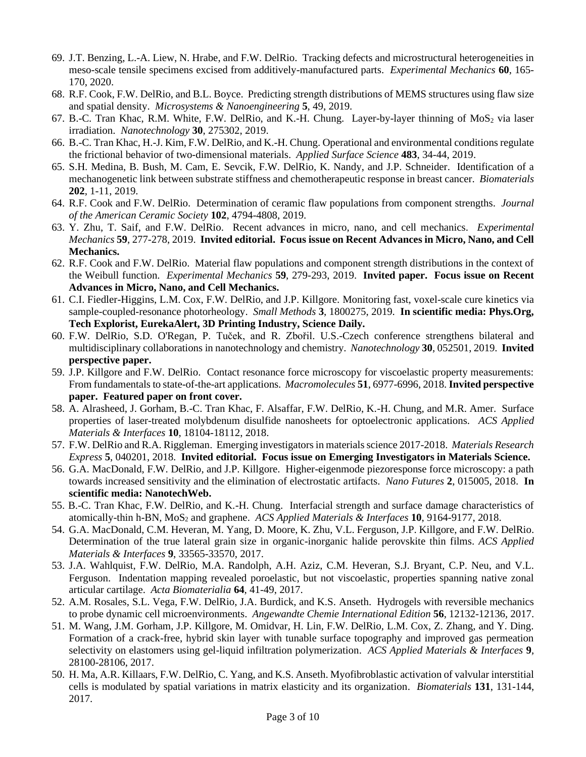- 69. J.T. Benzing, L.-A. Liew, N. Hrabe, and F.W. DelRio. Tracking defects and microstructural heterogeneities in meso-scale tensile specimens excised from additively-manufactured parts. *Experimental Mechanics* **60**, 165- 170, 2020.
- 68. R.F. Cook, F.W. DelRio, and B.L. Boyce. Predicting strength distributions of MEMS structures using flaw size and spatial density. *Microsystems & Nanoengineering* **5**, 49, 2019.
- 67. B.-C. Tran Khac, R.M. White, F.W. DelRio, and K.-H. Chung. Layer-by-layer thinning of  $MoS<sub>2</sub>$  via laser irradiation. *Nanotechnology* **30**, 275302, 2019.
- 66. B.-C. Tran Khac, H.-J. Kim, F.W. DelRio, and K.-H. Chung. Operational and environmental conditions regulate the frictional behavior of two-dimensional materials. *Applied Surface Science* **483**, 34-44, 2019.
- 65. S.H. Medina, B. Bush, M. Cam, E. Sevcik, F.W. DelRio, K. Nandy, and J.P. Schneider. Identification of a mechanogenetic link between substrate stiffness and chemotherapeutic response in breast cancer. *Biomaterials* **202**, 1-11, 2019.
- 64. R.F. Cook and F.W. DelRio. Determination of ceramic flaw populations from component strengths. *Journal of the American Ceramic Society* **102**, 4794-4808, 2019.
- 63. Y. Zhu, T. Saif, and F.W. DelRio. Recent advances in micro, nano, and cell mechanics. *Experimental Mechanics* **59**, 277-278, 2019. **Invited editorial. Focus issue on Recent Advances in Micro, Nano, and Cell Mechanics.**
- 62. R.F. Cook and F.W. DelRio. Material flaw populations and component strength distributions in the context of the Weibull function. *Experimental Mechanics* **59**, 279-293, 2019. **Invited paper. Focus issue on Recent Advances in Micro, Nano, and Cell Mechanics.**
- 61. C.I. Fiedler-Higgins, L.M. Cox, F.W. DelRio, and J.P. Killgore. Monitoring fast, voxel-scale cure kinetics via sample-coupled-resonance photorheology. *Small Methods* **3**, 1800275, 2019. **In scientific media: Phys.Org, Tech Explorist, EurekaAlert, 3D Printing Industry, Science Daily.**
- 60. F.W. DelRio, S.D. O'Regan, P. Tuček, and R. Zbořil. U.S.-Czech conference strengthens bilateral and multidisciplinary collaborations in nanotechnology and chemistry. *Nanotechnology* **30**, 052501, 2019. **Invited perspective paper.**
- 59. J.P. Killgore and F.W. DelRio. Contact resonance force microscopy for viscoelastic property measurements: From fundamentals to state-of-the-art applications. *Macromolecules* **51**, 6977-6996, 2018. **Invited perspective paper. Featured paper on front cover.**
- 58. A. Alrasheed, J. Gorham, B.-C. Tran Khac, F. Alsaffar, F.W. DelRio, K.-H. Chung, and M.R. Amer. Surface properties of laser-treated molybdenum disulfide nanosheets for optoelectronic applications. *ACS Applied Materials & Interfaces* **10**, 18104-18112, 2018.
- 57. F.W. DelRio and R.A. Riggleman. Emerging investigators in materials science 2017-2018. *Materials Research Express* **5**, 040201, 2018. **Invited editorial. Focus issue on Emerging Investigators in Materials Science.**
- 56. G.A. MacDonald, F.W. DelRio, and J.P. Killgore. Higher-eigenmode piezoresponse force microscopy: a path towards increased sensitivity and the elimination of electrostatic artifacts. *Nano Futures* **2**, 015005, 2018. **In scientific media: NanotechWeb.**
- 55. B.-C. Tran Khac, F.W. DelRio, and K.-H. Chung. Interfacial strength and surface damage characteristics of atomically-thin h-BN, MoS<sup>2</sup> and graphene. *ACS Applied Materials & Interfaces* **10**, 9164-9177, 2018.
- 54. G.A. MacDonald, C.M. Heveran, M. Yang, D. Moore, K. Zhu, V.L. Ferguson, J.P. Killgore, and F.W. DelRio. Determination of the true lateral grain size in organic-inorganic halide perovskite thin films. *ACS Applied Materials & Interfaces* **9**, 33565-33570, 2017.
- 53. J.A. Wahlquist, F.W. DelRio, M.A. Randolph, A.H. Aziz, C.M. Heveran, S.J. Bryant, C.P. Neu, and V.L. Ferguson. Indentation mapping revealed poroelastic, but not viscoelastic, properties spanning native zonal articular cartilage. *Acta Biomaterialia* **64**, 41-49, 2017.
- 52. A.M. Rosales, S.L. Vega, F.W. DelRio, J.A. Burdick, and K.S. Anseth. Hydrogels with reversible mechanics to probe dynamic cell microenvironments. *Angewandte Chemie International Edition* **56**, 12132-12136, 2017.
- 51. M. Wang, J.M. Gorham, J.P. Killgore, M. Omidvar, H. Lin, F.W. DelRio, L.M. Cox, Z. Zhang, and Y. Ding. Formation of a crack-free, hybrid skin layer with tunable surface topography and improved gas permeation selectivity on elastomers using gel-liquid infiltration polymerization. *ACS Applied Materials & Interfaces* **9**, 28100-28106, 2017.
- 50. H. Ma, A.R. Killaars, F.W. DelRio, C. Yang, and K.S. Anseth. Myofibroblastic activation of valvular interstitial cells is modulated by spatial variations in matrix elasticity and its organization. *Biomaterials* **131**, 131-144, 2017.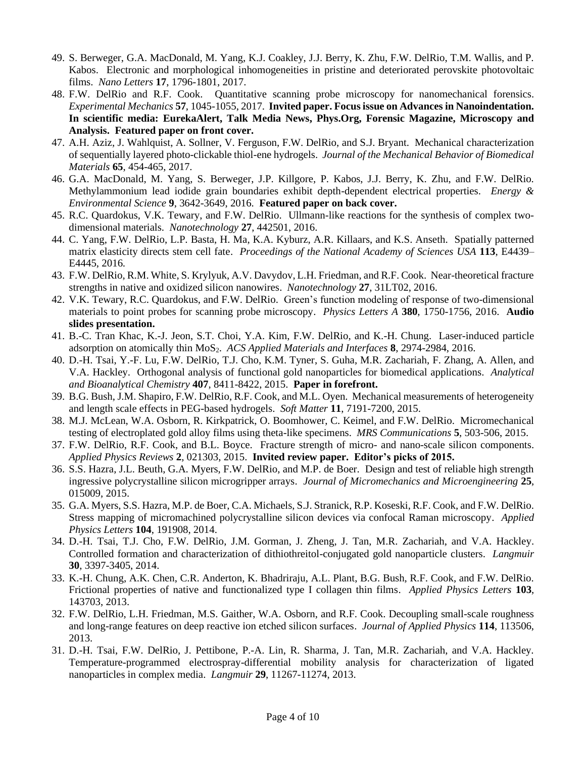- 49. S. Berweger, G.A. MacDonald, M. Yang, K.J. Coakley, J.J. Berry, K. Zhu, F.W. DelRio, T.M. Wallis, and P. Kabos. Electronic and morphological inhomogeneities in pristine and deteriorated perovskite photovoltaic films. *Nano Letters* **17**, 1796-1801, 2017.
- 48. F.W. DelRio and R.F. Cook. Quantitative scanning probe microscopy for nanomechanical forensics. *Experimental Mechanics* **57**, 1045-1055, 2017. **Invited paper. Focus issue on Advances in Nanoindentation. In scientific media: EurekaAlert, Talk Media News, Phys.Org, Forensic Magazine, Microscopy and Analysis. Featured paper on front cover.**
- 47. A.H. Aziz, J. Wahlquist, A. Sollner, V. Ferguson, F.W. DelRio, and S.J. Bryant. Mechanical characterization of sequentially layered photo-clickable thiol-ene hydrogels. *Journal of the Mechanical Behavior of Biomedical Materials* **65**, 454-465, 2017.
- 46. G.A. MacDonald, M. Yang, S. Berweger, J.P. Killgore, P. Kabos, J.J. Berry, K. Zhu, and F.W. DelRio. Methylammonium lead iodide grain boundaries exhibit depth-dependent electrical properties. *Energy & Environmental Science* **9**, 3642-3649, 2016. **Featured paper on back cover.**
- 45. R.C. Quardokus, V.K. Tewary, and F.W. DelRio. Ullmann-like reactions for the synthesis of complex twodimensional materials. *Nanotechnology* **27**, 442501, 2016.
- 44. C. Yang, F.W. DelRio, L.P. Basta, H. Ma, K.A. Kyburz, A.R. Killaars, and K.S. Anseth. Spatially patterned matrix elasticity directs stem cell fate. *Proceedings of the National Academy of Sciences USA* **113**, E4439– E4445, 2016.
- 43. F.W. DelRio, R.M. White, S. Krylyuk, A.V. Davydov, L.H. Friedman, and R.F. Cook. Near-theoretical fracture strengths in native and oxidized silicon nanowires. *Nanotechnology* **27**, 31LT02, 2016.
- 42. V.K. Tewary, R.C. Quardokus, and F.W. DelRio. Green's function modeling of response of two-dimensional materials to point probes for scanning probe microscopy. *Physics Letters A* **380**, 1750-1756, 2016. **Audio slides presentation.**
- 41. B.-C. Tran Khac, K.-J. Jeon, S.T. Choi, Y.A. Kim, F.W. DelRio, and K.-H. Chung. Laser-induced particle adsorption on atomically thin MoS2. *ACS Applied Materials and Interfaces* **8**, 2974-2984, 2016.
- 40. D.-H. Tsai, Y.-F. Lu, F.W. DelRio, T.J. Cho, K.M. Tyner, S. Guha, M.R. Zachariah, F. Zhang, A. Allen, and V.A. Hackley. Orthogonal analysis of functional gold nanoparticles for biomedical applications. *Analytical and Bioanalytical Chemistry* **407**, 8411-8422, 2015. **Paper in forefront.**
- 39. B.G. Bush, J.M. Shapiro, F.W. DelRio, R.F. Cook, and M.L. Oyen. Mechanical measurements of heterogeneity and length scale effects in PEG-based hydrogels. *Soft Matter* **11**, 7191-7200, 2015.
- 38. M.J. McLean, W.A. Osborn, R. Kirkpatrick, O. Boomhower, C. Keimel, and F.W. DelRio. Micromechanical testing of electroplated gold alloy films using theta-like specimens. *MRS Communications* **5**, 503-506, 2015.
- 37. F.W. DelRio, R.F. Cook, and B.L. Boyce. Fracture strength of micro- and nano-scale silicon components. *Applied Physics Reviews* **2**, 021303, 2015. **Invited review paper. Editor's picks of 2015.**
- 36. S.S. Hazra, J.L. Beuth, G.A. Myers, F.W. DelRio, and M.P. de Boer. Design and test of reliable high strength ingressive polycrystalline silicon microgripper arrays. *Journal of Micromechanics and Microengineering* **25**, 015009, 2015.
- 35. G.A. Myers, S.S. Hazra, M.P. de Boer, C.A. Michaels, S.J. Stranick, R.P. Koseski, R.F. Cook, and F.W. DelRio. Stress mapping of micromachined polycrystalline silicon devices via confocal Raman microscopy. *Applied Physics Letters* **104**, 191908, 2014.
- 34. D.-H. Tsai, T.J. Cho, F.W. DelRio, J.M. Gorman, J. Zheng, J. Tan, M.R. Zachariah, and V.A. Hackley. Controlled formation and characterization of dithiothreitol-conjugated gold nanoparticle clusters. *Langmuir* **30**, 3397-3405, 2014.
- 33. K.-H. Chung, A.K. Chen, C.R. Anderton, K. Bhadriraju, A.L. Plant, B.G. Bush, R.F. Cook, and F.W. DelRio. Frictional properties of native and functionalized type I collagen thin films. *Applied Physics Letters* **103**, 143703, 2013.
- 32. F.W. DelRio, L.H. Friedman, M.S. Gaither, W.A. Osborn, and R.F. Cook. Decoupling small-scale roughness and long-range features on deep reactive ion etched silicon surfaces. *Journal of Applied Physics* **114**, 113506, 2013.
- 31. D.-H. Tsai, F.W. DelRio, J. Pettibone, P.-A. Lin, R. Sharma, J. Tan, M.R. Zachariah, and V.A. Hackley. Temperature-programmed electrospray-differential mobility analysis for characterization of ligated nanoparticles in complex media. *Langmuir* **29**, 11267-11274, 2013.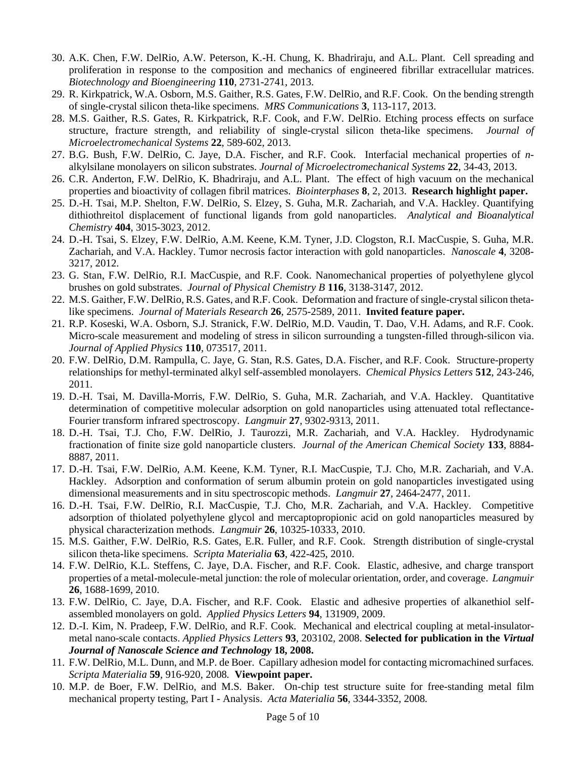- 30. A.K. Chen, F.W. DelRio, A.W. Peterson, K.-H. Chung, K. Bhadriraju, and A.L. Plant. Cell spreading and proliferation in response to the composition and mechanics of engineered fibrillar extracellular matrices. *Biotechnology and Bioengineering* **110**, 2731-2741, 2013.
- 29. R. Kirkpatrick, W.A. Osborn, M.S. Gaither, R.S. Gates, F.W. DelRio, and R.F. Cook. On the bending strength of single-crystal silicon theta-like specimens. *MRS Communications* **3**, 113-117, 2013.
- 28. M.S. Gaither, R.S. Gates, R. Kirkpatrick, R.F. Cook, and F.W. DelRio. Etching process effects on surface structure, fracture strength, and reliability of single-crystal silicon theta-like specimens. *Journal of Microelectromechanical Systems* **22**, 589-602, 2013.
- 27. B.G. Bush, F.W. DelRio, C. Jaye, D.A. Fischer, and R.F. Cook. Interfacial mechanical properties of *n*alkylsilane monolayers on silicon substrates. *Journal of Microelectromechanical Systems* **22**, 34-43, 2013.
- 26. C.R. Anderton, F.W. DelRio, K. Bhadriraju, and A.L. Plant. The effect of high vacuum on the mechanical properties and bioactivity of collagen fibril matrices. *Biointerphases* **8**, 2, 2013. **Research highlight paper.**
- 25. D.-H. Tsai, M.P. Shelton, F.W. DelRio, S. Elzey, S. Guha, M.R. Zachariah, and V.A. Hackley. Quantifying dithiothreitol displacement of functional ligands from gold nanoparticles. *Analytical and Bioanalytical Chemistry* **404**, 3015-3023, 2012.
- 24. D.-H. Tsai, S. Elzey, F.W. DelRio, A.M. Keene, K.M. Tyner, J.D. Clogston, R.I. MacCuspie, S. Guha, M.R. Zachariah, and V.A. Hackley. Tumor necrosis factor interaction with gold nanoparticles. *Nanoscale* **4**, 3208- 3217, 2012.
- 23. G. Stan, F.W. DelRio, R.I. MacCuspie, and R.F. Cook. Nanomechanical properties of polyethylene glycol brushes on gold substrates. *Journal of Physical Chemistry B* **116**, 3138-3147, 2012.
- 22. M.S. Gaither, F.W. DelRio, R.S. Gates, and R.F. Cook. Deformation and fracture of single-crystal silicon thetalike specimens. *Journal of Materials Research* **26**, 2575-2589, 2011. **Invited feature paper.**
- 21. R.P. Koseski, W.A. Osborn, S.J. Stranick, F.W. DelRio, M.D. Vaudin, T. Dao, V.H. Adams, and R.F. Cook. Micro-scale measurement and modeling of stress in silicon surrounding a tungsten-filled through-silicon via. *Journal of Applied Physics* **110**, 073517, 2011.
- 20. F.W. DelRio, D.M. Rampulla, C. Jaye, G. Stan, R.S. Gates, D.A. Fischer, and R.F. Cook. Structure-property relationships for methyl-terminated alkyl self-assembled monolayers. *Chemical Physics Letters* **512**, 243-246, 2011.
- 19. D.-H. Tsai, M. Davilla-Morris, F.W. DelRio, S. Guha, M.R. Zachariah, and V.A. Hackley. Quantitative determination of competitive molecular adsorption on gold nanoparticles using attenuated total reflectance-Fourier transform infrared spectroscopy. *Langmuir* **27**, 9302-9313, 2011.
- 18. D.-H. Tsai, T.J. Cho, F.W. DelRio, J. Taurozzi, M.R. Zachariah, and V.A. Hackley. Hydrodynamic fractionation of finite size gold nanoparticle clusters. *Journal of the American Chemical Society* **133**, 8884- 8887, 2011.
- 17. D.-H. Tsai, F.W. DelRio, A.M. Keene, K.M. Tyner, R.I. MacCuspie, T.J. Cho, M.R. Zachariah, and V.A. Hackley. Adsorption and conformation of serum albumin protein on gold nanoparticles investigated using dimensional measurements and in situ spectroscopic methods. *Langmuir* **27**, 2464-2477, 2011.
- 16. D.-H. Tsai, F.W. DelRio, R.I. MacCuspie, T.J. Cho, M.R. Zachariah, and V.A. Hackley. Competitive adsorption of thiolated polyethylene glycol and mercaptopropionic acid on gold nanoparticles measured by physical characterization methods. *Langmuir* **26**, 10325-10333, 2010.
- 15. M.S. Gaither, F.W. DelRio, R.S. Gates, E.R. Fuller, and R.F. Cook. Strength distribution of single-crystal silicon theta-like specimens. *Scripta Materialia* **63**, 422-425, 2010.
- 14. F.W. DelRio, K.L. Steffens, C. Jaye, D.A. Fischer, and R.F. Cook. Elastic, adhesive, and charge transport properties of a metal-molecule-metal junction: the role of molecular orientation, order, and coverage. *Langmuir* **26**, 1688-1699, 2010.
- 13. F.W. DelRio, C. Jaye, D.A. Fischer, and R.F. Cook. Elastic and adhesive properties of alkanethiol selfassembled monolayers on gold. *Applied Physics Letters* **94**, 131909, 2009.
- 12. D.-I. Kim, N. Pradeep, F.W. DelRio, and R.F. Cook. Mechanical and electrical coupling at metal-insulatormetal nano-scale contacts. *Applied Physics Letters* **93**, 203102, 2008. **Selected for publication in the** *Virtual Journal of Nanoscale Science and Technology* **18, 2008.**
- 11. F.W. DelRio, M.L. Dunn, and M.P. de Boer. Capillary adhesion model for contacting micromachined surfaces. *Scripta Materialia* **59**, 916-920, 2008*.* **Viewpoint paper.**
- 10. M.P. de Boer, F.W. DelRio, and M.S. Baker. On-chip test structure suite for free-standing metal film mechanical property testing, Part I - Analysis. *Acta Materialia* **56**, 3344-3352, 2008*.*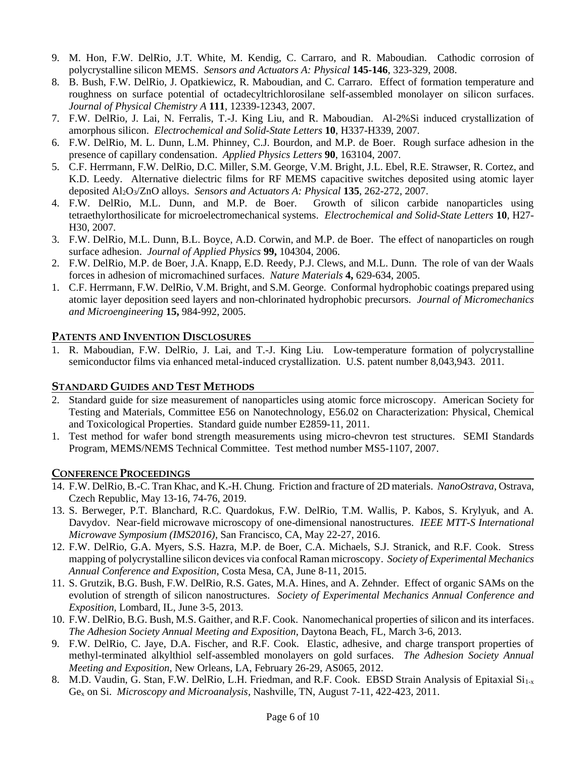- 9. M. Hon, F.W. DelRio, J.T. White, M. Kendig, C. Carraro, and R. Maboudian. Cathodic corrosion of polycrystalline silicon MEMS. *Sensors and Actuators A: Physical* **145-146**, 323-329, 2008.
- 8. B. Bush, F.W. DelRio, J. Opatkiewicz, R. Maboudian, and C. Carraro. Effect of formation temperature and roughness on surface potential of octadecyltrichlorosilane self-assembled monolayer on silicon surfaces. *Journal of Physical Chemistry A* **111**, 12339-12343, 2007.
- 7. F.W. DelRio, J. Lai, N. Ferralis, T.-J. King Liu, and R. Maboudian. Al-2%Si induced crystallization of amorphous silicon. *Electrochemical and Solid-State Letters* **10**, H337-H339, 2007*.*
- 6. F.W. DelRio, M. L. Dunn, L.M. Phinney, C.J. Bourdon, and M.P. de Boer. Rough surface adhesion in the presence of capillary condensation. *Applied Physics Letters* **90**, 163104, 2007*.*
- 5. C.F. Herrmann, F.W. DelRio, D.C. Miller, S.M. George, V.M. Bright, J.L. Ebel, R.E. Strawser, R. Cortez, and K.D. Leedy. Alternative dielectric films for RF MEMS capacitive switches deposited using atomic layer deposited Al2O3/ZnO alloys. *Sensors and Actuators A: Physical* **135**, 262-272, 2007.
- 4. F.W. DelRio, M.L. Dunn, and M.P. de Boer. Growth of silicon carbide nanoparticles using tetraethylorthosilicate for microelectromechanical systems. *Electrochemical and Solid-State Letters* **10**, H27- H30, 2007*.*
- 3. F.W. DelRio, M.L. Dunn, B.L. Boyce, A.D. Corwin, and M.P. de Boer. The effect of nanoparticles on rough surface adhesion. *Journal of Applied Physics* **99,** 104304, 2006.
- 2. F.W. DelRio, M.P. de Boer, J.A. Knapp, E.D. Reedy, P.J. Clews, and M.L. Dunn. The role of van der Waals forces in adhesion of micromachined surfaces. *Nature Materials* **4,** 629-634, 2005.
- 1. C.F. Herrmann, F.W. DelRio, V.M. Bright, and S.M. George. Conformal hydrophobic coatings prepared using atomic layer deposition seed layers and non-chlorinated hydrophobic precursors. *Journal of Micromechanics and Microengineering* **15,** 984-992, 2005.

# **PATENTS AND INVENTION DISCLOSURES**

1. R. Maboudian, F.W. DelRio, J. Lai, and T.-J. King Liu. Low-temperature formation of polycrystalline semiconductor films via enhanced metal-induced crystallization. U.S. patent number 8,043,943. 2011.

# **STANDARD GUIDES AND TEST METHODS**

- 2. Standard guide for size measurement of nanoparticles using atomic force microscopy. American Society for Testing and Materials, Committee E56 on Nanotechnology, E56.02 on Characterization: Physical, Chemical and Toxicological Properties. Standard guide number E2859-11, 2011.
- 1. Test method for wafer bond strength measurements using micro-chevron test structures. SEMI Standards Program, MEMS/NEMS Technical Committee. Test method number MS5-1107, 2007.

## **CONFERENCE PROCEEDINGS**

- 14. F.W. DelRio, B.-C. Tran Khac, and K.-H. Chung. Friction and fracture of 2D materials. *NanoOstrava*, Ostrava, Czech Republic, May 13-16, 74-76, 2019.
- 13. S. Berweger, P.T. Blanchard, R.C. Quardokus, F.W. DelRio, T.M. Wallis, P. Kabos, S. Krylyuk, and A. Davydov. Near-field microwave microscopy of one-dimensional nanostructures. *IEEE MTT-S International Microwave Symposium (IMS2016)*, San Francisco, CA, May 22-27, 2016.
- 12. F.W. DelRio, G.A. Myers, S.S. Hazra, M.P. de Boer, C.A. Michaels, S.J. Stranick, and R.F. Cook. Stress mapping of polycrystalline silicon devices via confocal Raman microscopy. *Society of Experimental Mechanics Annual Conference and Exposition*, Costa Mesa, CA, June 8-11, 2015.
- 11. S. Grutzik, B.G. Bush, F.W. DelRio, R.S. Gates, M.A. Hines, and A. Zehnder. Effect of organic SAMs on the evolution of strength of silicon nanostructures. *Society of Experimental Mechanics Annual Conference and Exposition*, Lombard, IL, June 3-5, 2013.
- 10. F.W. DelRio, B.G. Bush, M.S. Gaither, and R.F. Cook. Nanomechanical properties of silicon and its interfaces. *The Adhesion Society Annual Meeting and Exposition*, Daytona Beach, FL, March 3-6, 2013.
- 9. F.W. DelRio, C. Jaye, D.A. Fischer, and R.F. Cook. Elastic, adhesive, and charge transport properties of methyl-terminated alkylthiol self-assembled monolayers on gold surfaces. *The Adhesion Society Annual Meeting and Exposition*, New Orleans, LA, February 26-29, AS065, 2012.
- 8. M.D. Vaudin, G. Stan, F.W. DelRio, L.H. Friedman, and R.F. Cook. EBSD Strain Analysis of Epitaxial Si<sub>1-x</sub> Ge<sup>x</sup> on Si. *Microscopy and Microanalysis*, Nashville, TN, August 7-11, 422-423, 2011.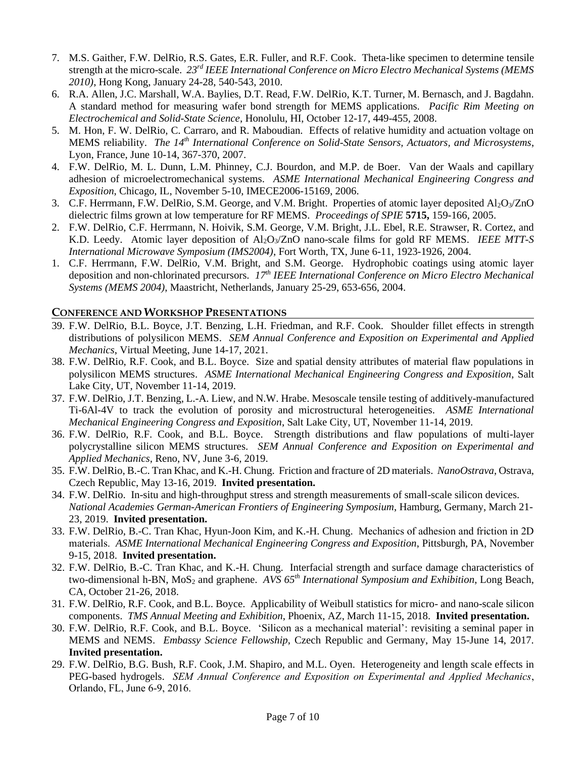- 7. M.S. Gaither, F.W. DelRio, R.S. Gates, E.R. Fuller, and R.F. Cook. Theta-like specimen to determine tensile strength at the micro-scale. *23rd IEEE International Conference on Micro Electro Mechanical Systems (MEMS 2010)*, Hong Kong, January 24-28, 540-543, 2010.
- 6. R.A. Allen, J.C. Marshall, W.A. Baylies, D.T. Read, F.W. DelRio, K.T. Turner, M. Bernasch, and J. Bagdahn. A standard method for measuring wafer bond strength for MEMS applications. *Pacific Rim Meeting on Electrochemical and Solid-State Science*, Honolulu, HI, October 12-17, 449-455, 2008.
- 5. M. Hon, F. W. DelRio, C. Carraro, and R. Maboudian. Effects of relative humidity and actuation voltage on MEMS reliability. *The 14th International Conference on Solid-State Sensors, Actuators, and Microsystems*, Lyon, France, June 10-14, 367-370, 2007.
- 4. F.W. DelRio, M. L. Dunn, L.M. Phinney, C.J. Bourdon, and M.P. de Boer. Van der Waals and capillary adhesion of microelectromechanical systems. *ASME International Mechanical Engineering Congress and Exposition*, Chicago, IL, November 5-10, IMECE2006-15169, 2006.
- 3. C.F. Herrmann, F.W. DelRio, S.M. George, and V.M. Bright. Properties of atomic layer deposited  $A_1O_3/ZnO$ dielectric films grown at low temperature for RF MEMS. *Proceedings of SPIE* **5715,** 159-166, 2005.
- 2. F.W. DelRio, C.F. Herrmann, N. Hoivik, S.M. George, V.M. Bright, J.L. Ebel, R.E. Strawser, R. Cortez, and K.D. Leedy. Atomic layer deposition of Al2O3/ZnO nano-scale films for gold RF MEMS. *IEEE MTT-S International Microwave Symposium (IMS2004)*, Fort Worth, TX, June 6-11, 1923-1926, 2004.
- 1. C.F. Herrmann, F.W. DelRio, V.M. Bright, and S.M. George. Hydrophobic coatings using atomic layer deposition and non-chlorinated precursors. *17th IEEE International Conference on Micro Electro Mechanical Systems (MEMS 2004)*, Maastricht, Netherlands, January 25-29, 653-656, 2004.

# **CONFERENCE AND WORKSHOP PRESENTATIONS**

- 39. F.W. DelRio, B.L. Boyce, J.T. Benzing, L.H. Friedman, and R.F. Cook. Shoulder fillet effects in strength distributions of polysilicon MEMS. *SEM Annual Conference and Exposition on Experimental and Applied Mechanics*, Virtual Meeting, June 14-17, 2021.
- 38. F.W. DelRio, R.F. Cook, and B.L. Boyce. Size and spatial density attributes of material flaw populations in polysilicon MEMS structures. *ASME International Mechanical Engineering Congress and Exposition*, Salt Lake City, UT, November 11-14, 2019.
- 37. F.W. DelRio, J.T. Benzing, L.-A. Liew, and N.W. Hrabe. Mesoscale tensile testing of additively-manufactured Ti-6Al-4V to track the evolution of porosity and microstructural heterogeneities. *ASME International Mechanical Engineering Congress and Exposition*, Salt Lake City, UT, November 11-14, 2019.
- 36. F.W. DelRio, R.F. Cook, and B.L. Boyce. Strength distributions and flaw populations of multi-layer polycrystalline silicon MEMS structures. *SEM Annual Conference and Exposition on Experimental and Applied Mechanics*, Reno, NV, June 3-6, 2019.
- 35. F.W. DelRio, B.-C. Tran Khac, and K.-H. Chung. Friction and fracture of 2D materials. *NanoOstrava*, Ostrava, Czech Republic, May 13-16, 2019. **Invited presentation.**
- 34. F.W. DelRio. In-situ and high-throughput stress and strength measurements of small-scale silicon devices. *National Academies German-American Frontiers of Engineering Symposium*, Hamburg, Germany, March 21- 23, 2019. **Invited presentation.**
- 33. F.W. DelRio, B.-C. Tran Khac, Hyun-Joon Kim, and K.-H. Chung. Mechanics of adhesion and friction in 2D materials. *ASME International Mechanical Engineering Congress and Exposition*, Pittsburgh, PA, November 9-15, 2018. **Invited presentation.**
- 32. F.W. DelRio, B.-C. Tran Khac, and K.-H. Chung. Interfacial strength and surface damage characteristics of two-dimensional h-BN, MoS<sub>2</sub> and graphene. *AVS 65<sup>th</sup> International Symposium and Exhibition*, Long Beach, CA, October 21-26, 2018.
- 31. F.W. DelRio, R.F. Cook, and B.L. Boyce. Applicability of Weibull statistics for micro- and nano-scale silicon components. *TMS Annual Meeting and Exhibition*, Phoenix, AZ, March 11-15, 2018. **Invited presentation.**
- 30. F.W. DelRio, R.F. Cook, and B.L. Boyce. 'Silicon as a mechanical material': revisiting a seminal paper in MEMS and NEMS. *Embassy Science Fellowship*, Czech Republic and Germany, May 15-June 14, 2017. **Invited presentation.**
- 29. F.W. DelRio, B.G. Bush, R.F. Cook, J.M. Shapiro, and M.L. Oyen. Heterogeneity and length scale effects in PEG-based hydrogels. *SEM Annual Conference and Exposition on Experimental and Applied Mechanics*, Orlando, FL, June 6-9, 2016.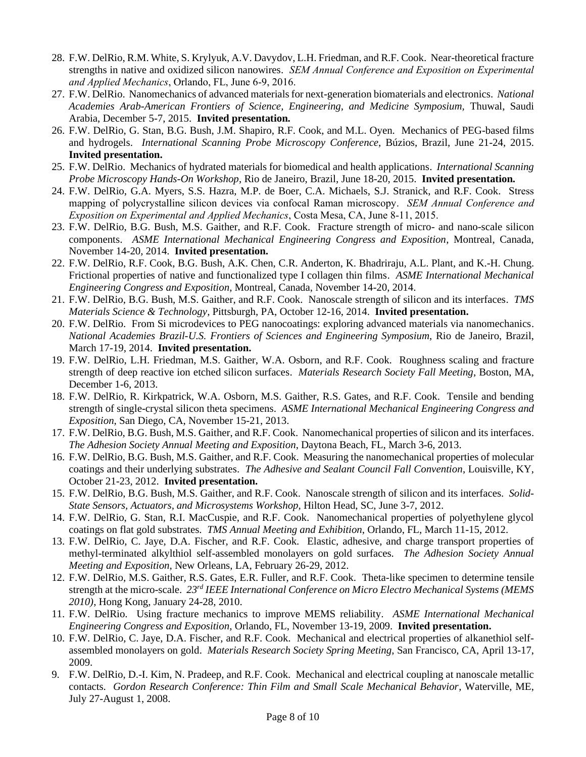- 28. F.W. DelRio, R.M. White, S. Krylyuk, A.V. Davydov, L.H. Friedman, and R.F. Cook. Near-theoretical fracture strengths in native and oxidized silicon nanowires. *SEM Annual Conference and Exposition on Experimental and Applied Mechanics*, Orlando, FL, June 6-9, 2016.
- 27. F.W. DelRio. Nanomechanics of advanced materials for next-generation biomaterials and electronics. *National Academies Arab-American Frontiers of Science, Engineering, and Medicine Symposium,* Thuwal, Saudi Arabia, December 5-7, 2015. **Invited presentation.**
- 26. F.W. DelRio, G. Stan, B.G. Bush, J.M. Shapiro, R.F. Cook, and M.L. Oyen. Mechanics of PEG-based films and hydrogels. *International Scanning Probe Microscopy Conference*, Búzios, Brazil, June 21-24, 2015. **Invited presentation.**
- 25. F.W. DelRio. Mechanics of hydrated materials for biomedical and health applications. *International Scanning Probe Microscopy Hands-On Workshop*, Rio de Janeiro, Brazil, June 18-20, 2015. **Invited presentation.**
- 24. F.W. DelRio, G.A. Myers, S.S. Hazra, M.P. de Boer, C.A. Michaels, S.J. Stranick, and R.F. Cook. Stress mapping of polycrystalline silicon devices via confocal Raman microscopy. *SEM Annual Conference and Exposition on Experimental and Applied Mechanics*, Costa Mesa, CA, June 8-11, 2015.
- 23. F.W. DelRio, B.G. Bush, M.S. Gaither, and R.F. Cook. Fracture strength of micro- and nano-scale silicon components. *ASME International Mechanical Engineering Congress and Exposition*, Montreal, Canada, November 14-20, 2014. **Invited presentation.**
- 22. F.W. DelRio, R.F. Cook, B.G. Bush, A.K. Chen, C.R. Anderton, K. Bhadriraju, A.L. Plant, and K.-H. Chung. Frictional properties of native and functionalized type I collagen thin films. *ASME International Mechanical Engineering Congress and Exposition*, Montreal, Canada, November 14-20, 2014.
- 21. F.W. DelRio, B.G. Bush, M.S. Gaither, and R.F. Cook. Nanoscale strength of silicon and its interfaces. *TMS Materials Science & Technology*, Pittsburgh, PA, October 12-16, 2014. **Invited presentation.**
- 20. F.W. DelRio. From Si microdevices to PEG nanocoatings: exploring advanced materials via nanomechanics. *National Academies Brazil-U.S. Frontiers of Sciences and Engineering Symposium*, Rio de Janeiro, Brazil, March 17-19, 2014. **Invited presentation.**
- 19. F.W. DelRio, L.H. Friedman, M.S. Gaither, W.A. Osborn, and R.F. Cook. Roughness scaling and fracture strength of deep reactive ion etched silicon surfaces. *Materials Research Society Fall Meeting*, Boston, MA, December 1-6, 2013.
- 18. F.W. DelRio, R. Kirkpatrick, W.A. Osborn, M.S. Gaither, R.S. Gates, and R.F. Cook. Tensile and bending strength of single-crystal silicon theta specimens. *ASME International Mechanical Engineering Congress and Exposition*, San Diego, CA, November 15-21, 2013.
- 17. F.W. DelRio, B.G. Bush, M.S. Gaither, and R.F. Cook. Nanomechanical properties of silicon and its interfaces. *The Adhesion Society Annual Meeting and Exposition*, Daytona Beach, FL, March 3-6, 2013.
- 16. F.W. DelRio, B.G. Bush, M.S. Gaither, and R.F. Cook. Measuring the nanomechanical properties of molecular coatings and their underlying substrates. *The Adhesive and Sealant Council Fall Convention*, Louisville, KY, October 21-23, 2012. **Invited presentation.**
- 15. F.W. DelRio, B.G. Bush, M.S. Gaither, and R.F. Cook. Nanoscale strength of silicon and its interfaces. *Solid-State Sensors, Actuators, and Microsystems Workshop*, Hilton Head, SC, June 3-7, 2012.
- 14. F.W. DelRio, G. Stan, R.I. MacCuspie, and R.F. Cook. Nanomechanical properties of polyethylene glycol coatings on flat gold substrates. *TMS Annual Meeting and Exhibition*, Orlando, FL, March 11-15, 2012.
- 13. F.W. DelRio, C. Jaye, D.A. Fischer, and R.F. Cook. Elastic, adhesive, and charge transport properties of methyl-terminated alkylthiol self-assembled monolayers on gold surfaces. *The Adhesion Society Annual Meeting and Exposition*, New Orleans, LA, February 26-29, 2012.
- 12. F.W. DelRio, M.S. Gaither, R.S. Gates, E.R. Fuller, and R.F. Cook. Theta-like specimen to determine tensile strength at the micro-scale. *23rd IEEE International Conference on Micro Electro Mechanical Systems (MEMS 2010)*, Hong Kong, January 24-28, 2010.
- 11. F.W. DelRio. Using fracture mechanics to improve MEMS reliability. *ASME International Mechanical Engineering Congress and Exposition*, Orlando, FL, November 13-19, 2009. **Invited presentation.**
- 10. F.W. DelRio, C. Jaye, D.A. Fischer, and R.F. Cook. Mechanical and electrical properties of alkanethiol selfassembled monolayers on gold. *Materials Research Society Spring Meeting*, San Francisco, CA, April 13-17, 2009.
- 9. F.W. DelRio, D.-I. Kim, N. Pradeep, and R.F. Cook. Mechanical and electrical coupling at nanoscale metallic contacts. *Gordon Research Conference: Thin Film and Small Scale Mechanical Behavior*, Waterville, ME, July 27-August 1, 2008.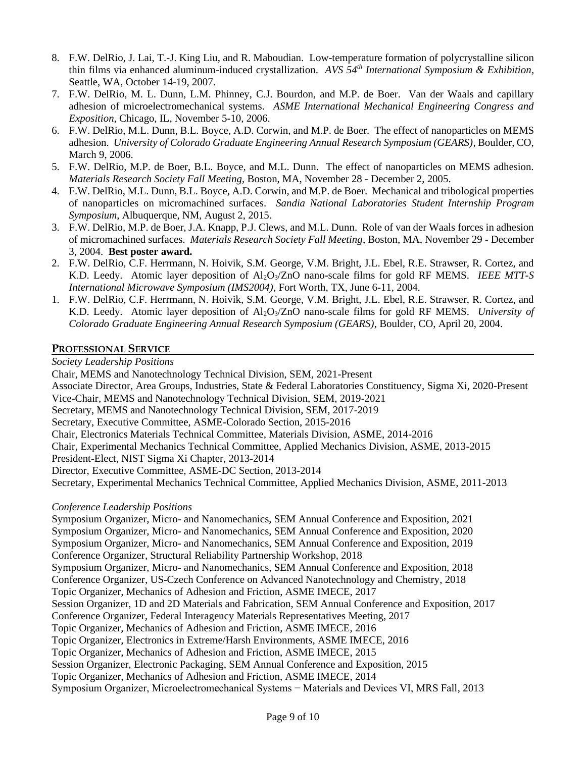- 8. F.W. DelRio, J. Lai, T.-J. King Liu, and R. Maboudian. Low-temperature formation of polycrystalline silicon thin films via enhanced aluminum-induced crystallization. *AVS 54th International Symposium & Exhibition*, Seattle, WA, October 14-19, 2007.
- 7. F.W. DelRio, M. L. Dunn, L.M. Phinney, C.J. Bourdon, and M.P. de Boer. Van der Waals and capillary adhesion of microelectromechanical systems. *ASME International Mechanical Engineering Congress and Exposition*, Chicago, IL, November 5-10, 2006.
- 6. F.W. DelRio, M.L. Dunn, B.L. Boyce, A.D. Corwin, and M.P. de Boer. The effect of nanoparticles on MEMS adhesion. *University of Colorado Graduate Engineering Annual Research Symposium (GEARS)*, Boulder, CO, March 9, 2006.
- 5. F.W. DelRio, M.P. de Boer, B.L. Boyce, and M.L. Dunn. The effect of nanoparticles on MEMS adhesion. *Materials Research Society Fall Meeting*, Boston, MA, November 28 - December 2, 2005.
- 4. F.W. DelRio, M.L. Dunn, B.L. Boyce, A.D. Corwin, and M.P. de Boer. Mechanical and tribological properties of nanoparticles on micromachined surfaces. *Sandia National Laboratories Student Internship Program Symposium*, Albuquerque, NM, August 2, 2015.
- 3. F.W. DelRio, M.P. de Boer, J.A. Knapp, P.J. Clews, and M.L. Dunn. Role of van der Waals forces in adhesion of micromachined surfaces. *Materials Research Society Fall Meeting*, Boston, MA, November 29 - December 3, 2004. **Best poster award.**
- 2. F.W. DelRio, C.F. Herrmann, N. Hoivik, S.M. George, V.M. Bright, J.L. Ebel, R.E. Strawser, R. Cortez, and K.D. Leedy. Atomic layer deposition of Al2O3/ZnO nano-scale films for gold RF MEMS. *IEEE MTT-S International Microwave Symposium (IMS2004)*, Fort Worth, TX, June 6-11, 2004.
- 1. F.W. DelRio, C.F. Herrmann, N. Hoivik, S.M. George, V.M. Bright, J.L. Ebel, R.E. Strawser, R. Cortez, and K.D. Leedy. Atomic layer deposition of Al2O3/ZnO nano-scale films for gold RF MEMS. *University of Colorado Graduate Engineering Annual Research Symposium (GEARS)*, Boulder, CO, April 20, 2004.

# **PROFESSIONAL SERVICE**

*Society Leadership Positions*

Chair, MEMS and Nanotechnology Technical Division, SEM, 2021-Present Associate Director, Area Groups, Industries, State & Federal Laboratories Constituency, Sigma Xi, 2020-Present Vice-Chair, MEMS and Nanotechnology Technical Division, SEM, 2019-2021 Secretary, MEMS and Nanotechnology Technical Division, SEM, 2017-2019 Secretary, Executive Committee, ASME-Colorado Section, 2015-2016 Chair, Electronics Materials Technical Committee, Materials Division, ASME, 2014-2016 Chair, Experimental Mechanics Technical Committee, Applied Mechanics Division, ASME, 2013-2015 President-Elect, NIST Sigma Xi Chapter, 2013-2014 Director, Executive Committee, ASME-DC Section, 2013-2014 Secretary, Experimental Mechanics Technical Committee, Applied Mechanics Division, ASME, 2011-2013

## *Conference Leadership Positions*

Symposium Organizer, Micro- and Nanomechanics, SEM Annual Conference and Exposition, 2021 Symposium Organizer, Micro- and Nanomechanics, SEM Annual Conference and Exposition, 2020 Symposium Organizer, Micro- and Nanomechanics, SEM Annual Conference and Exposition, 2019 Conference Organizer, Structural Reliability Partnership Workshop, 2018 Symposium Organizer, Micro- and Nanomechanics, SEM Annual Conference and Exposition, 2018 Conference Organizer, US-Czech Conference on Advanced Nanotechnology and Chemistry, 2018 Topic Organizer, Mechanics of Adhesion and Friction, ASME IMECE, 2017 Session Organizer, 1D and 2D Materials and Fabrication, SEM Annual Conference and Exposition, 2017 Conference Organizer, Federal Interagency Materials Representatives Meeting, 2017 Topic Organizer, Mechanics of Adhesion and Friction, ASME IMECE, 2016 Topic Organizer, Electronics in Extreme/Harsh Environments, ASME IMECE, 2016 Topic Organizer, Mechanics of Adhesion and Friction, ASME IMECE, 2015 Session Organizer, Electronic Packaging, SEM Annual Conference and Exposition, 2015 Topic Organizer, Mechanics of Adhesion and Friction, ASME IMECE, 2014 Symposium Organizer, Microelectromechanical Systems − Materials and Devices VI, MRS Fall, 2013